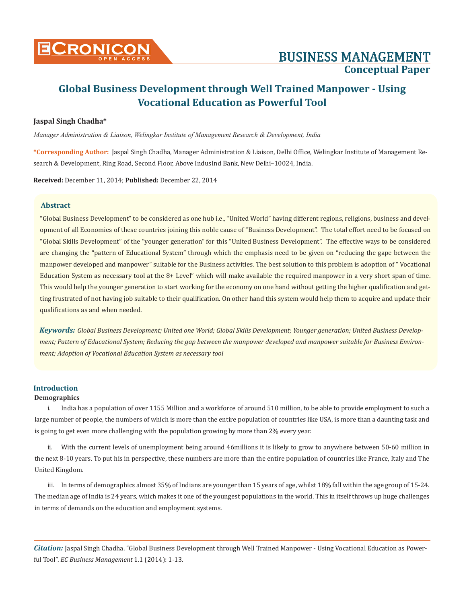

# **Jaspal Singh Chadha\***

*Manager Administration & Liaison, Welingkar Institute of Management Research & Development, India*

**\*Corresponding Author:** Jaspal Singh Chadha, Manager Administration & Liaison, Delhi Office, Welingkar Institute of Management Research & Development, Ring Road, Second Floor, Above IndusInd Bank, New Delhi–10024, India.

**Received:** December 11, 2014; **Published:** December 22, 2014

# **Abstract**

"Global Business Development" to be considered as one hub i.e., "United World" having different regions, religions, business and development of all Economies of these countries joining this noble cause of "Business Development". The total effort need to be focused on "Global Skills Development" of the "younger generation" for this "United Business Development". The effective ways to be considered are changing the "pattern of Educational System" through which the emphasis need to be given on "reducing the gape between the manpower developed and manpower" suitable for the Business activities. The best solution to this problem is adoption of " Vocational Education System as necessary tool at the 8+ Level" which will make available the required manpower in a very short span of time. This would help the younger generation to start working for the economy on one hand without getting the higher qualification and getting frustrated of not having job suitable to their qualification. On other hand this system would help them to acquire and update their qualifications as and when needed.

*Keywords: Global Business Development; United one World; Global Skills Development; Younger generation; United Business Development; Pattern of Educational System; Reducing the gap between the manpower developed and manpower suitable for Business Environment; Adoption of Vocational Education System as necessary tool*

# **Introduction**

### **Demographics**

i. India has a population of over 1155 Million and a workforce of around 510 million, to be able to provide employment to such a large number of people, the numbers of which is more than the entire population of countries like USA, is more than a daunting task and is going to get even more challenging with the population growing by more than 2% every year.

ii. With the current levels of unemployment being around 46millions it is likely to grow to anywhere between 50-60 million in the next 8-10 years. To put his in perspective, these numbers are more than the entire population of countries like France, Italy and The United Kingdom.

iii. In terms of demographics almost 35% of Indians are younger than 15 years of age, whilst 18% fall within the age group of 15-24. The median age of India is 24 years, which makes it one of the youngest populations in the world. This in itself throws up huge challenges in terms of demands on the education and employment systems.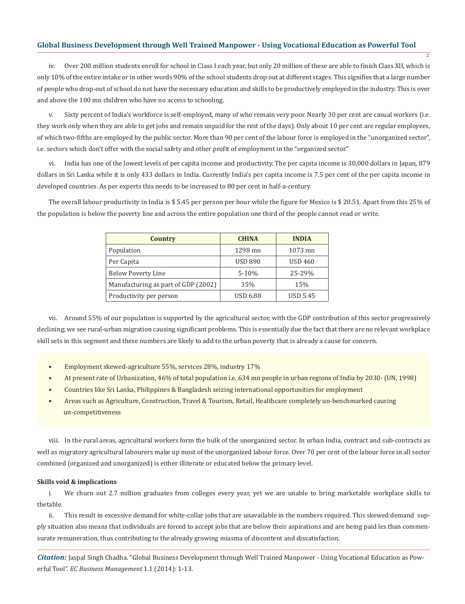iv. Over 200 million students enroll for school in Class I each year, but only 20 million of these are able to finish Class XII, which is only 10% of the entire intake or in other words 90% of the school students drop out at different stages. This signifies that a large number of people who drop-out of school do not have the necessary education and skills to be productively employed in the industry. This is over and above the 100 mn children who have no access to schooling.

2

v. Sixty percent of India's workforce is self-employed, many of who remain very poor. Nearly 30 per cent are casual workers (i.e. they work only when they are able to get jobs and remain unpaid for the rest of the days). Only about 10 per cent are regular employees, of which two-fifths are employed by the public sector. More than 90 per cent of the labour force is employed in the "unorganized sector", i.e. sectors which don't offer with the social safety and other profit of employment in the "organized sector."

vi. India has one of the lowest levels of per capita income and productivity. The per capita income is 30,000 dollars in Japan, 879 dollars in Sri Lanka while it is only 433 dollars in India. Currently India's per capita income is 7.5 per cent of the per capita income in developed countries. As per experts this needs to be increased to 80 per cent in half-a-century.

The overall labour productivity in India is \$ 5.45 per person per hour while the figure for Mexico is \$ 20.51. Apart from this 25% of the population is below the poverty line and across the entire population one third of the people cannot read or write.

| Country                             | <b>CHINA</b>    | <b>INDIA</b>    |
|-------------------------------------|-----------------|-----------------|
| Population                          | 1298 mn         | 1073 mn         |
| Per Capita                          | <b>USD 890</b>  | <b>USD 460</b>  |
| <b>Below Poverty Line</b>           | $5 - 10%$       | 25-29%          |
| Manufacturing as part of GDP (2002) | 35%             | 15%             |
| Productivity per person             | <b>USD 6.88</b> | <b>USD 5.45</b> |

vii. Around 55% of our population is supported by the agricultural sector, with the GDP contribution of this sector progressively declining; we see rural-urban migration causing significant problems. This is essentially due the fact that there are no relevant workplace skill sets in this segment and these numbers are likely to add to the urban poverty that is already a cause for concern.

- Employment skewed-agriculture 55%, services 28%, industry 17%
- At present rate of Urbanization, 46% of total population i.e. 634 mn people in urban regions of India by 2030- (UN, 1998)
- Countries like Sri Lanka, Philippines & Bangladesh seizing international opportunities for employment
- Areas such as Agriculture, Construction, Travel & Tourism, Retail, Healthcare completely un-benchmarked causing un-competitiveness

viii. In the rural areas, agricultural workers form the bulk of the unorganized sector. In urban India, contract and sub-contracts as well as migratory agricultural labourers make up most of the unorganized labour force. Over 70 per cent of the labour force in all sector combined (organized and unorganized) is either illiterate or educated below the primary level.

## **Skills void & implications**

i. We churn out 2.7 million graduates from colleges every year, yet we are unable to bring marketable workplace skills to thetable.

ii. This result in excessive demand for white-collar jobs that are unavailable in the numbers required. This skewed demand supply situation also means that individuals are forced to accept jobs that are below their aspirations and are being paid les than commensurate remuneration, thus contributing to the already growing miasma of discontent and dissatisfaction.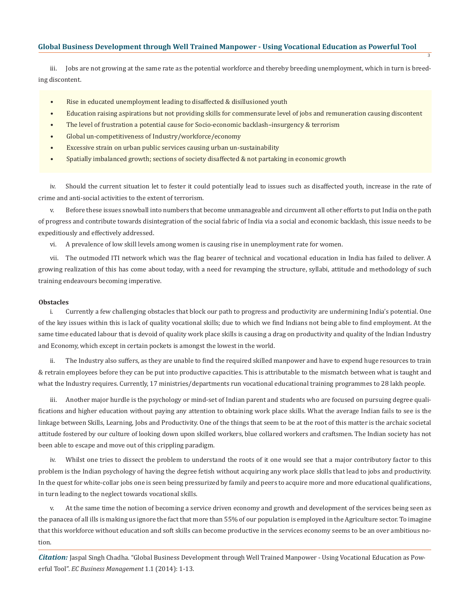iii. Jobs are not growing at the same rate as the potential workforce and thereby breeding unemployment, which in turn is breeding discontent.

3

- Rise in educated unemployment leading to disaffected & disillusioned youth
- Education raising aspirations but not providing skills for commensurate level of jobs and remuneration causing discontent
- The level of frustration a potential cause for Socio-economic backlash–insurgency & terrorism
- Global un-competitiveness of Industry/workforce/economy
- Excessive strain on urban public services causing urban un-sustainability
- Spatially imbalanced growth; sections of society disaffected & not partaking in economic growth

iv. Should the current situation let to fester it could potentially lead to issues such as disaffected youth, increase in the rate of crime and anti-social activities to the extent of terrorism.

v. Before these issues snowball into numbers that become unmanageable and circumvent all other efforts to put India on the path of progress and contribute towards disintegration of the social fabric of India via a social and economic backlash, this issue needs to be expeditiously and effectively addressed.

vi. A prevalence of low skill levels among women is causing rise in unemployment rate for women.

vii. The outmoded ITI network which was the flag bearer of technical and vocational education in India has failed to deliver. A growing realization of this has come about today, with a need for revamping the structure, syllabi, attitude and methodology of such training endeavours becoming imperative.

### **Obstacles**

i. Currently a few challenging obstacles that block our path to progress and productivity are undermining India's potential. One of the key issues within this is lack of quality vocational skills; due to which we find Indians not being able to find employment. At the same time educated labour that is devoid of quality work place skills is causing a drag on productivity and quality of the Indian Industry and Economy, which except in certain pockets is amongst the lowest in the world.

ii. The Industry also suffers, as they are unable to find the required skilled manpower and have to expend huge resources to train & retrain employees before they can be put into productive capacities. This is attributable to the mismatch between what is taught and what the Industry requires. Currently, 17 ministries/departments run vocational educational training programmes to 28 lakh people.

iii. Another major hurdle is the psychology or mind-set of Indian parent and students who are focused on pursuing degree qualifications and higher education without paying any attention to obtaining work place skills. What the average Indian fails to see is the linkage between Skills, Learning, Jobs and Productivity. One of the things that seem to be at the root of this matter is the archaic societal attitude fostered by our culture of looking down upon skilled workers, blue collared workers and craftsmen. The Indian society has not been able to escape and move out of this crippling paradigm.

iv. Whilst one tries to dissect the problem to understand the roots of it one would see that a major contributory factor to this problem is the Indian psychology of having the degree fetish without acquiring any work place skills that lead to jobs and productivity. In the quest for white-collar jobs one is seen being pressurized by family and peers to acquire more and more educational qualifications, in turn leading to the neglect towards vocational skills.

v. At the same time the notion of becoming a service driven economy and growth and development of the services being seen as the panacea of all ills is making us ignore the fact that more than 55% of our population is employed in the Agriculture sector. To imagine that this workforce without education and soft skills can become productive in the services economy seems to be an over ambitious notion.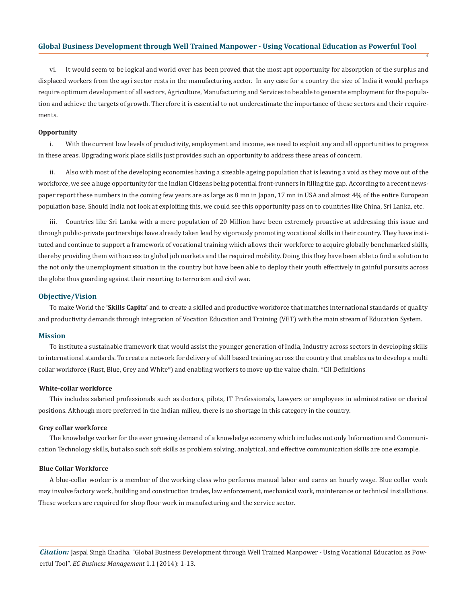vi. It would seem to be logical and world over has been proved that the most apt opportunity for absorption of the surplus and displaced workers from the agri sector rests in the manufacturing sector. In any case for a country the size of India it would perhaps require optimum development of all sectors, Agriculture, Manufacturing and Services to be able to generate employment for the population and achieve the targets of growth. Therefore it is essential to not underestimate the importance of these sectors and their requirements.

4

### **Opportunity**

i. With the current low levels of productivity, employment and income, we need to exploit any and all opportunities to progress in these areas. Upgrading work place skills just provides such an opportunity to address these areas of concern.

ii. Also with most of the developing economies having a sizeable ageing population that is leaving a void as they move out of the workforce, we see a huge opportunity for the Indian Citizens being potential front-runners in filling the gap. According to a recent newspaper report these numbers in the coming few years are as large as 8 mn in Japan, 17 mn in USA and almost 4% of the entire European population base. Should India not look at exploiting this, we could see this opportunity pass on to countries like China, Sri Lanka, etc.

Countries like Sri Lanka with a mere population of 20 Million have been extremely proactive at addressing this issue and through public-private partnerships have already taken lead by vigorously promoting vocational skills in their country. They have instituted and continue to support a framework of vocational training which allows their workforce to acquire globally benchmarked skills, thereby providing them with access to global job markets and the required mobility. Doing this they have been able to find a solution to the not only the unemployment situation in the country but have been able to deploy their youth effectively in gainful pursuits across the globe thus guarding against their resorting to terrorism and civil war.

### **Objective/Vision**

To make World the **'Skills Capita'** and to create a skilled and productive workforce that matches international standards of quality and productivity demands through integration of Vocation Education and Training (VET) with the main stream of Education System.

### **Mission**

To institute a sustainable framework that would assist the younger generation of India, Industry across sectors in developing skills to international standards. To create a network for delivery of skill based training across the country that enables us to develop a multi collar workforce (Rust, Blue, Grey and White\*) and enabling workers to move up the value chain. \*CII Definitions

### **White-collar workforce**

This includes salaried professionals such as doctors, pilots, IT Professionals, Lawyers or employees in administrative or clerical positions. Although more preferred in the Indian milieu, there is no shortage in this category in the country.

#### **Grey collar workforce**

The knowledge worker for the ever growing demand of a knowledge economy which includes not only Information and Communication Technology skills, but also such soft skills as problem solving, analytical, and effective communication skills are one example.

### **Blue Collar Workforce**

A blue-collar worker is a member of the working class who performs manual labor and earns an hourly wage. Blue collar work may involve factory work, building and construction trades, law enforcement, mechanical work, maintenance or technical installations. These workers are required for shop floor work in manufacturing and the service sector.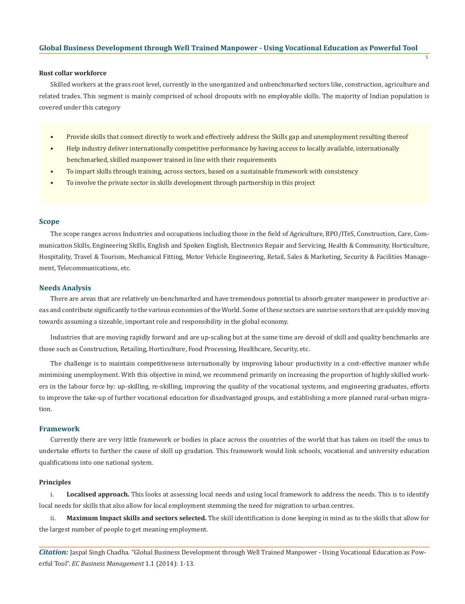### **Rust collar workforce**

Skilled workers at the grass root level, currently in the unorganized and unbenchmarked sectors like, construction, agriculture and related trades. This segment is mainly comprised of school dropouts with no employable skills. The majority of Indian population is covered under this category

5

- Provide skills that connect directly to work and effectively address the Skills gap and unemployment resulting thereof
- Help industry deliver internationally competitive performance by having access to locally available, internationally benchmarked, skilled manpower trained in line with their requirements
- To impart skills through training, across sectors, based on a sustainable framework with consistency
- To involve the private sector in skills development through partnership in this project

### **Scope**

The scope ranges across Industries and occupations including those in the field of Agriculture, BPO/ITeS, Construction, Care, Communication Skills, Engineering Skills, English and Spoken English, Electronics Repair and Servicing, Health & Community, Horticulture, Hospitality, Travel & Tourism, Mechanical Fitting, Motor Vehicle Engineering, Retail, Sales & Marketing, Security & Facilities Management, Telecommunications, etc.

### **Needs Analysis**

There are areas that are relatively un-benchmarked and have tremendous potential to absorb greater manpower in productive areas and contribute significantly to the various economies of the World. Some of these sectors are sunrise sectors that are quickly moving towards assuming a sizeable, important role and responsibility in the global economy.

Industries that are moving rapidly forward and are up-scaling but at the same time are devoid of skill and quality benchmarks are those such as Construction, Retailing, Horticulture, Food Processing, Healthcare, Security, etc.

The challenge is to maintain competitiveness internationally by improving labour productivity in a cost-effective manner while minimising unemployment. With this objective in mind, we recommend primarily on increasing the proportion of highly skilled workers in the labour force by: up-skilling, re-skilling, improving the quality of the vocational systems, and engineering graduates, efforts to improve the take-up of further vocational education for disadvantaged groups, and establishing a more planned rural-urban migration.

## **Framework**

Currently there are very little framework or bodies in place across the countries of the world that has taken on itself the onus to undertake efforts to further the cause of skill up gradation. This framework would link schools, vocational and university education qualifications into one national system.

#### **Principles**

i. **Localised approach.** This looks at assessing local needs and using local framework to address the needs. This is to identify local needs for skills that also allow for local employment stemming the need for migration to urban centres.

ii. **Maximum Impact skills and sectors selected.** The skill identification is done keeping in mind as to the skills that allow for the largest number of people to get meaning employment.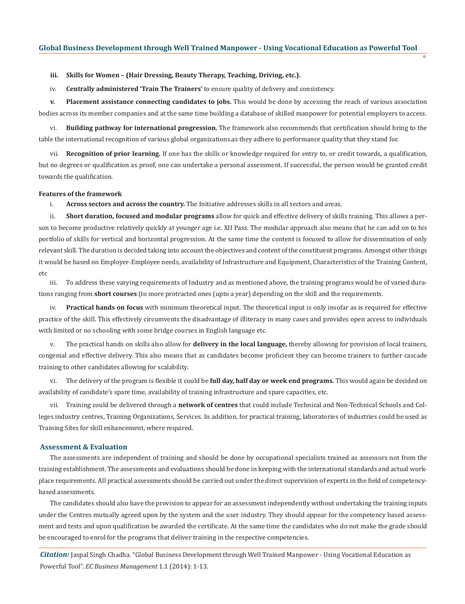6

### **iii. Skills for Women – (Hair Dressing, Beauty Therapy, Teaching, Driving, etc.).**

iv. **Centrally administered 'Train The Trainers'** to ensure quality of delivery and consistency.

**v. Placement assistance connecting candidates to jobs.** This would be done by accessing the reach of various association bodies across its member companies and at the same time building a database of skilled manpower for potential employers to access.

vi. **Building pathway for international progression.** The framework also recommends that certification should bring to the table the international recognition of various global organizations.as they adhere to performance quality that they stand for.

vii. **Recognition of prior learning.** If one has the skills or knowledge required for entry to, or credit towards, a qualification, but no degrees or qualification as proof, one can undertake a personal assessment. If successful, the person would be granted credit towards the qualification.

#### **Features of the framework**

i. **Across sectors and across the country.** The Initiative addresses skills in all sectors and areas.

ii. **Short duration, focused and modular programs** allow for quick and effective delivery of skills training. This allows a person to become productive relatively quickly at younger age i.e. XII Pass. The modular approach also means that he can add on to his portfolio of skills for vertical and horizontal progression. At the same time the content is focused to allow for dissemination of only relevant skill. The duration is decided taking into account the objectives and content of the constituent programs. Amongst other things it would be based on Employer-Employee needs, availability of Infrastructure and Equipment, Characteristics of the Training Content, etc

iii. To address these varying requirements of Industry and as mentioned above, the training programs would be of varied durations ranging from **short courses** (to more protracted ones (upto a year) depending on the skill and the requirements.

iv. **Practical hands on focus** with minimum theoretical input. The theoretical input is only insofar as is required for effective practice of the skill. This effectively circumvents the disadvantage of illiteracy in many cases and provides open access to individuals with limited or no schooling with some bridge courses in English language etc.

v. The practical hands on skills also allow for **delivery in the local language,** thereby allowing for provision of local trainers, congenial and effective delivery. This also means that as candidates become proficient they can become trainers to further cascade training to other candidates allowing for scalability.

vi. The delivery of the program is flexible it could be **full day, half day or week end programs.** This would again be decided on availability of candidate's spare time, availability of training infrastructure and spare capacities, etc.

vii. Training could be delivered through a **network of centres** that could include Technical and Non-Technical Schools and Colleges industry centres, Training Organizations, Services. In addition, for practical training, laboratories of industries could be used as Training Sites for skill enhancement, where required.

### **Assessment & Evaluation**

The assessments are independent of training and should be done by occupational specialists trained as assessors not from the training establishment. The assessments and evaluations should be done in keeping with the international standards and actual workplace requirements. All practical assessments should be carried out under the direct supervision of experts in the field of competencybased assessments.

The candidates should also have the provision to appear for an assessment independently without undertaking the training inputs under the Centres mutually agreed upon by the system and the user industry. They should appear for the competency based assessment and tests and upon qualification be awarded the certificate. At the same time the candidates who do not make the grade should be encouraged to enrol for the programs that deliver training in the respective competencies.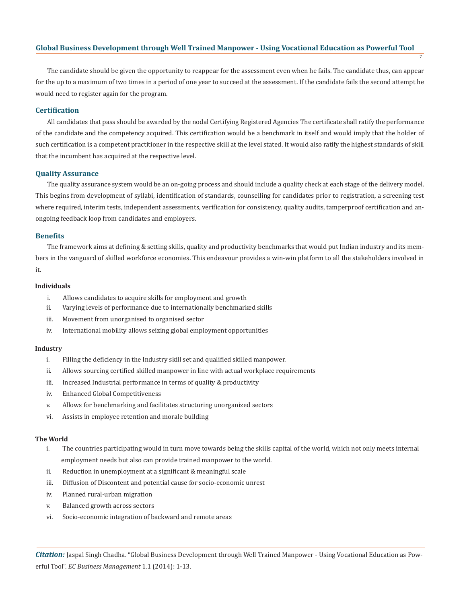The candidate should be given the opportunity to reappear for the assessment even when he fails. The candidate thus, can appear for the up to a maximum of two times in a period of one year to succeed at the assessment. If the candidate fails the second attempt he would need to register again for the program.

7

### **Certification**

All candidates that pass should be awarded by the nodal Certifying Registered Agencies The certificate shall ratify the performance of the candidate and the competency acquired. This certification would be a benchmark in itself and would imply that the holder of such certification is a competent practitioner in the respective skill at the level stated. It would also ratify the highest standards of skill that the incumbent has acquired at the respective level.

# **Quality Assurance**

The quality assurance system would be an on-going process and should include a quality check at each stage of the delivery model. This begins from development of syllabi, identification of standards, counselling for candidates prior to registration, a screening test where required, interim tests, independent assessments, verification for consistency, quality audits, tamperproof certification and anongoing feedback loop from candidates and employers.

#### **Benefits**

The framework aims at defining & setting skills, quality and productivity benchmarks that would put Indian industry and its members in the vanguard of skilled workforce economies. This endeavour provides a win-win platform to all the stakeholders involved in it.

#### **Individuals**

- i. Allows candidates to acquire skills for employment and growth
- ii. Varying levels of performance due to internationally benchmarked skills
- iii. Movement from unorganised to organised sector
- iv. International mobility allows seizing global employment opportunities

### **Industry**

- i. Filling the deficiency in the Industry skill set and qualified skilled manpower.
- ii. Allows sourcing certified skilled manpower in line with actual workplace requirements
- iii. Increased Industrial performance in terms of quality & productivity
- iv. Enhanced Global Competitiveness
- v. Allows for benchmarking and facilitates structuring unorganized sectors
- vi. Assists in employee retention and morale building

#### **The World**

- i. The countries participating would in turn move towards being the skills capital of the world, which not only meets internal employment needs but also can provide trained manpower to the world.
- ii. Reduction in unemployment at a significant & meaningful scale
- iii. Diffusion of Discontent and potential cause for socio-economic unrest
- iv. Planned rural-urban migration
- v. Balanced growth across sectors
- vi. Socio-economic integration of backward and remote areas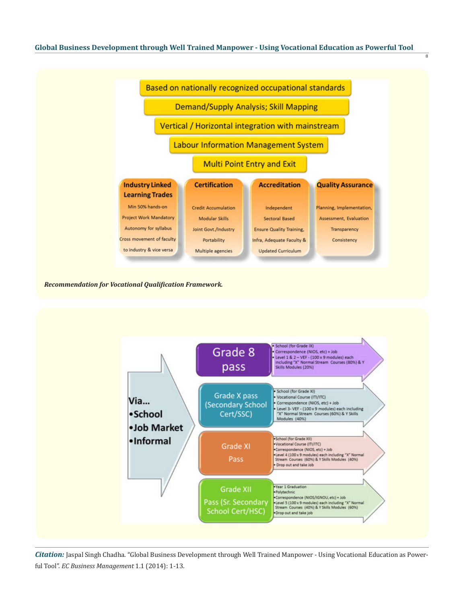$\overline{8}$ 



*Recommendation for Vocational Qualification Framework.*

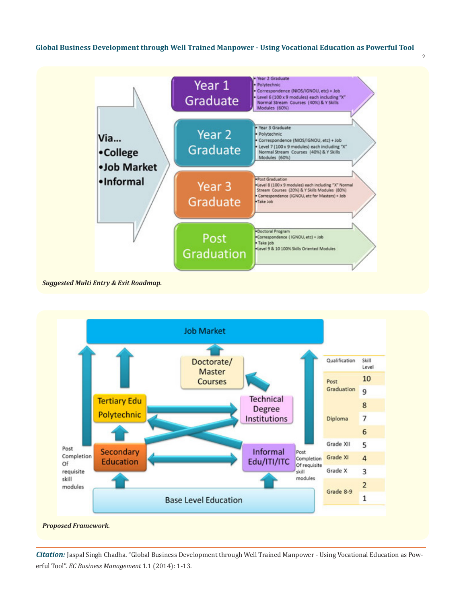9



*Suggested Multi Entry & Exit Roadmap.*

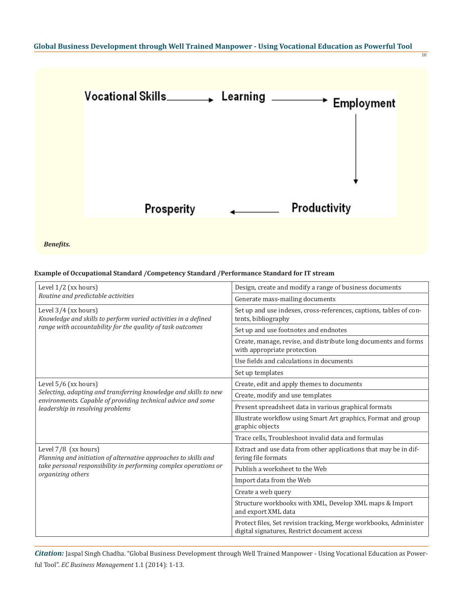

*Benefits.*

# **Example of Occupational Standard /Competency Standard /Performance Standard for IT stream**

| Level $1/2$ (xx hours)<br>Routine and predictable activities                                                                                                                                 | Design, create and modify a range of business documents                                                           |  |
|----------------------------------------------------------------------------------------------------------------------------------------------------------------------------------------------|-------------------------------------------------------------------------------------------------------------------|--|
|                                                                                                                                                                                              | Generate mass-mailing documents                                                                                   |  |
| Level 3/4 (xx hours)<br>Knowledge and skills to perform varied activities in a defined<br>range with accountability for the quality of task outcomes                                         | Set up and use indexes, cross-references, captions, tables of con-<br>tents, bibliography                         |  |
|                                                                                                                                                                                              | Set up and use footnotes and endnotes                                                                             |  |
|                                                                                                                                                                                              | Create, manage, revise, and distribute long documents and forms<br>with appropriate protection                    |  |
|                                                                                                                                                                                              | Use fields and calculations in documents                                                                          |  |
|                                                                                                                                                                                              | Set up templates                                                                                                  |  |
| Level 5/6 (xx hours)<br>Selecting, adapting and transferring knowledge and skills to new<br>environments. Capable of providing technical advice and some<br>leadership in resolving problems | Create, edit and apply themes to documents                                                                        |  |
|                                                                                                                                                                                              | Create, modify and use templates                                                                                  |  |
|                                                                                                                                                                                              | Present spreadsheet data in various graphical formats                                                             |  |
|                                                                                                                                                                                              | Illustrate workflow using Smart Art graphics, Format and group<br>graphic objects                                 |  |
|                                                                                                                                                                                              | Trace cells, Troubleshoot invalid data and formulas                                                               |  |
| Level $7/8$ (xx hours)<br>Planning and initiation of alternative approaches to skills and<br>take personal responsibility in performing complex operations or<br>organizing others           | Extract and use data from other applications that may be in dif-<br>fering file formats                           |  |
|                                                                                                                                                                                              | Publish a worksheet to the Web                                                                                    |  |
|                                                                                                                                                                                              | Import data from the Web                                                                                          |  |
|                                                                                                                                                                                              | Create a web query                                                                                                |  |
|                                                                                                                                                                                              | Structure workbooks with XML, Develop XML maps & Import<br>and export XML data                                    |  |
|                                                                                                                                                                                              | Protect files, Set revision tracking, Merge workbooks, Administer<br>digital signatures, Restrict document access |  |

*Citation:* Jaspal Singh Chadha. "Global Business Development through Well Trained Manpower - Using Vocational Education as Powerful Tool". *EC Business Management* 1.1 (2014): 1-13.

10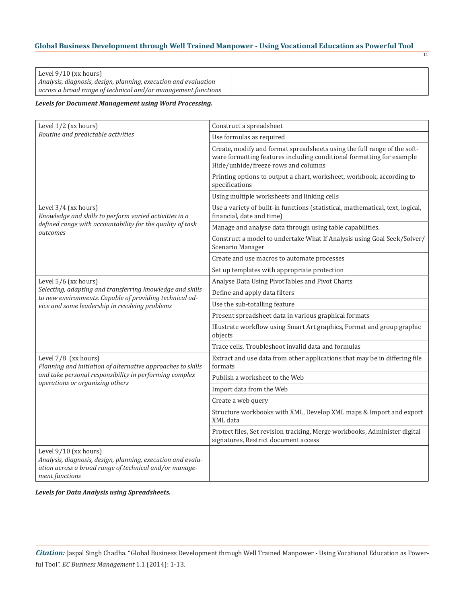| Level $9/10$ (xx hours)                                         |  |
|-----------------------------------------------------------------|--|
| Analysis, diagnosis, design, planning, execution and evaluation |  |
| across a broad range of technical and/or management functions   |  |

11

# *Levels for Document Management using Word Processing.*

| Level 1/2 (xx hours)                                                                                                                                               | Construct a spreadsheet                                                                                                                                                                  |  |
|--------------------------------------------------------------------------------------------------------------------------------------------------------------------|------------------------------------------------------------------------------------------------------------------------------------------------------------------------------------------|--|
| Routine and predictable activities                                                                                                                                 | Use formulas as required                                                                                                                                                                 |  |
|                                                                                                                                                                    | Create, modify and format spreadsheets using the full range of the soft-<br>ware formatting features including conditional formatting for example<br>Hide/unhide/freeze rows and columns |  |
|                                                                                                                                                                    | Printing options to output a chart, worksheet, workbook, according to<br>specifications                                                                                                  |  |
|                                                                                                                                                                    | Using multiple worksheets and linking cells                                                                                                                                              |  |
| Level 3/4 (xx hours)<br>Knowledge and skills to perform varied activities in a<br>defined range with accountability for the quality of task<br>outcomes            | Use a variety of built-in functions (statistical, mathematical, text, logical,<br>financial, date and time)                                                                              |  |
|                                                                                                                                                                    | Manage and analyse data through using table capabilities.                                                                                                                                |  |
|                                                                                                                                                                    | Construct a model to undertake What If Analysis using Goal Seek/Solver/<br>Scenario Manager                                                                                              |  |
|                                                                                                                                                                    | Create and use macros to automate processes                                                                                                                                              |  |
|                                                                                                                                                                    | Set up templates with appropriate protection                                                                                                                                             |  |
| Level $5/6$ (xx hours)                                                                                                                                             | Analyse Data Using PivotTables and Pivot Charts                                                                                                                                          |  |
| Selecting, adapting and transferring knowledge and skills<br>to new environments. Capable of providing technical ad-                                               | Define and apply data filters                                                                                                                                                            |  |
| vice and some leadership in resolving problems                                                                                                                     | Use the sub-totalling feature                                                                                                                                                            |  |
|                                                                                                                                                                    | Present spreadsheet data in various graphical formats                                                                                                                                    |  |
|                                                                                                                                                                    | Illustrate workflow using Smart Art graphics, Format and group graphic<br>objects                                                                                                        |  |
|                                                                                                                                                                    | Trace cells, Troubleshoot invalid data and formulas                                                                                                                                      |  |
| Level 7/8 (xx hours)<br>Planning and initiation of alternative approaches to skills                                                                                | Extract and use data from other applications that may be in differing file<br>formats                                                                                                    |  |
| and take personal responsibility in performing complex<br>operations or organizing others                                                                          | Publish a worksheet to the Web                                                                                                                                                           |  |
|                                                                                                                                                                    | Import data from the Web                                                                                                                                                                 |  |
|                                                                                                                                                                    | Create a web query                                                                                                                                                                       |  |
|                                                                                                                                                                    | Structure workbooks with XML, Develop XML maps & Import and export<br>XML data                                                                                                           |  |
|                                                                                                                                                                    | Protect files, Set revision tracking, Merge workbooks, Administer digital<br>signatures, Restrict document access                                                                        |  |
| Level $9/10$ (xx hours)<br>Analysis, diagnosis, design, planning, execution and evalu-<br>ation across a broad range of technical and/or manage-<br>ment functions |                                                                                                                                                                                          |  |

*Levels for Data Analysis using Spreadsheets.*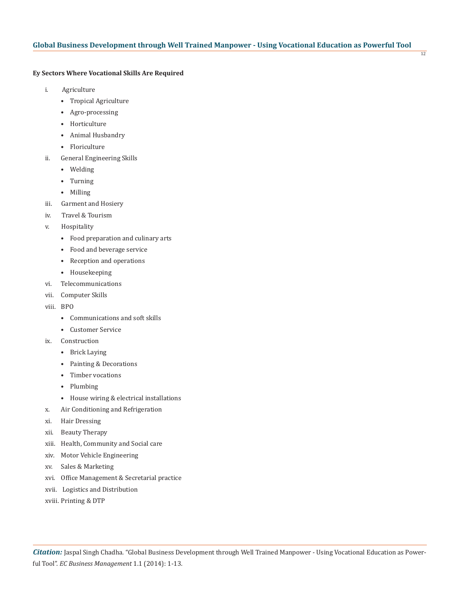12

# **Ey Sectors Where Vocational Skills Are Required**

- i. Agriculture
	- Tropical Agriculture
	- Agro-processing
	- Horticulture
	- Animal Husbandry
	- Floriculture
- ii. General Engineering Skills
	- Welding
	- Turning
	- Milling
- iii. Garment and Hosiery
- iv. Travel & Tourism
- v. Hospitality
	- Food preparation and culinary arts
	- Food and beverage service
	- Reception and operations
	- Housekeeping
- vi. Telecommunications
- vii. Computer Skills
- viii. BPO
	- Communications and soft skills
	- Customer Service
- ix. Construction
	- Brick Laying
	- Painting & Decorations
	- Timber vocations
	- Plumbing
	- House wiring & electrical installations
- x. Air Conditioning and Refrigeration
- xi. Hair Dressing
- xii. Beauty Therapy
- xiii. Health, Community and Social care
- xiv. Motor Vehicle Engineering
- xv. Sales & Marketing
- xvi. Office Management & Secretarial practice
- xvii. Logistics and Distribution
- xviii. Printing & DTP